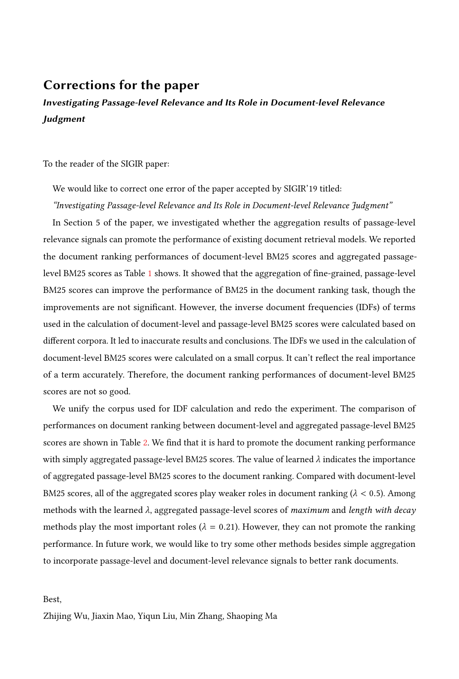## Corrections for the paper

## Investigating Passage-level Relevance and Its Role in Document-level Relevance **Judgment**

To the reader of the SIGIR paper:

We would like to correct one error of the paper accepted by SIGIR'19 titled:

## "Investigating Passage-level Relevance and Its Role in Document-level Relevance Judgment"

In Section 5 of the paper, we investigated whether the aggregation results of passage-level relevance signals can promote the performance of existing document retrieval models. We reported the document ranking performances of document-level BM25 scores and aggregated passage-level BM25 scores as Table [1](#page-1-0) shows. It showed that the aggregation of fine-grained, passage-level BM25 scores can improve the performance of BM25 in the document ranking task, though the improvements are not significant. However, the inverse document frequencies (IDFs) of terms used in the calculation of document-level and passage-level BM25 scores were calculated based on different corpora. It led to inaccurate results and conclusions. The IDFs we used in the calculation of document-level BM25 scores were calculated on a small corpus. It can't reflect the real importance of a term accurately. Therefore, the document ranking performances of document-level BM25 scores are not so good.

We unify the corpus used for IDF calculation and redo the experiment. The comparison of performances on document ranking between document-level and aggregated passage-level BM25 scores are shown in Table [2.](#page-1-1) We find that it is hard to promote the document ranking performance with simply aggregated passage-level BM25 scores. The value of learned  $\lambda$  indicates the importance of aggregated passage-level BM25 scores to the document ranking. Compared with document-level BM25 scores, all of the aggregated scores play weaker roles in document ranking ( $\lambda$  < 0.5). Among methods with the learned  $\lambda$ , aggregated passage-level scores of maximum and length with decay methods play the most important roles ( $\lambda = 0.21$ ). However, they can not promote the ranking performance. In future work, we would like to try some other methods besides simple aggregation to incorporate passage-level and document-level relevance signals to better rank documents.

Best,

Zhijing Wu, Jiaxin Mao, Yiqun Liu, Min Zhang, Shaoping Ma